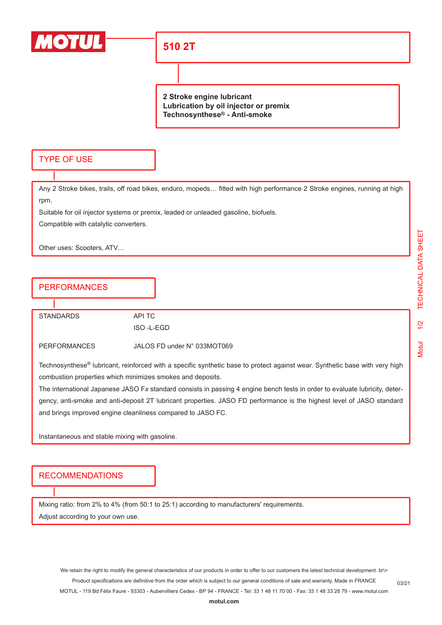

## **510 2T**

**2 Stroke engine lubricant Lubrication by oil injector or premix Technosynthese® - Anti-smoke**

#### TYPE OF USE

Any 2 Stroke bikes, trails, off road bikes, enduro, mopeds… fitted with high performance 2 Stroke engines, running at high rpm.

Suitable for oil injector systems or premix, leaded or unleaded gasoline, biofuels.

Compatible with catalytic converters.

Other uses: Scooters, ATV…

#### PERFORMANCES

STANDARDS API TC

ISO -L-EGD

PERFORMANCES JALOS FD under N° 033MOT069

Technosynthese® lubricant, reinforced with a specific synthetic base to protect against wear. Synthetic base with very high combustion properties which minimizes smokes and deposits.

The international Japanese JASO F*x* standard consists in passing 4 engine bench tests in order to evaluate lubricity, detergency, anti-smoke and anti-deposit 2T lubricant properties. JASO FD performance is the highest level of JASO standard and brings improved engine cleanliness compared to JASO FC.

Instantaneous and stable mixing with gasoline.

#### **RECOMMENDATIONS**

Mixing ratio: from 2% to 4% (from 50:1 to 25:1) according to manufacturers' requirements. Adjust according to your own use.

We retain the right to modify the general characteristics of our products in order to offer to our customers the latest technical development. br\> Product specifications are definitive from the order which is subject to our general conditions of sale and warranty. Made in FRANCE MOTUL - 119 Bd Félix Faure - 93303 - Aubervilliers Cedex - BP 94 - FRANCE - Tel: 33 1 48 11 70 00 - Fax: 33 1 48 33 28 79 - www.motul.com

03/21